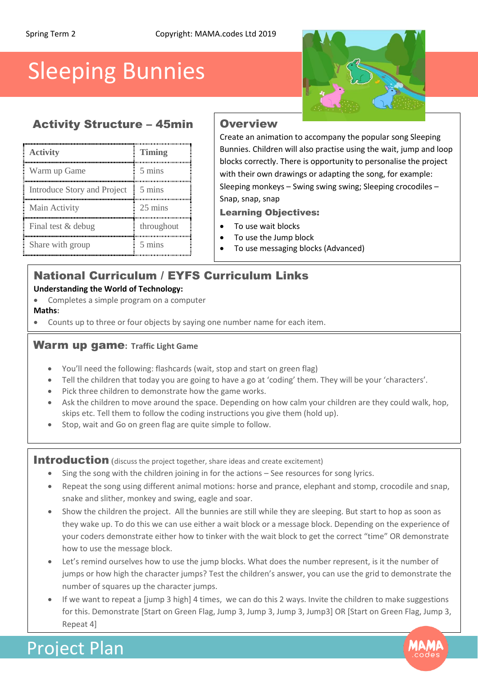# Sleeping Bunnies

## Activity Structure – 45min Overview

| <b>Activity</b>             | Timing           |
|-----------------------------|------------------|
| Warm up Game                | 5 mins           |
| Introduce Story and Project | 5 mins           |
| Main Activity               | 25 mins          |
| Final test & debug          | throughout       |
| Share with group            | $5 \text{ mins}$ |

Create an animation to accompany the popular song Sleeping Bunnies. Children will also practise using the wait, jump and loop blocks correctly. There is opportunity to personalise the project with their own drawings or adapting the song, for example: Sleeping monkeys – Swing swing swing; Sleeping crocodiles – Snap, snap, snap

Learning Objectives:

- To use wait blocks
- To use the Jump block
- To use messaging blocks (Advanced)

# National Curriculum / EYFS Curriculum Links

## **Understanding the World of Technology:**

• Completes a simple program on a computer

### **Maths:**

Counts up to three or four objects by saying one number name for each item.

## Warm up game**: Traffic Light Game**

- You'll need the following: flashcards (wait, stop and start on green flag)
- Tell the children that today you are going to have a go at 'coding' them. They will be your 'characters'.
- Pick three children to demonstrate how the game works.
- Ask the children to move around the space. Depending on how calm your children are they could walk, hop, skips etc. Tell them to follow the coding instructions you give them (hold up).
- Stop, wait and Go on green flag are quite simple to follow.

Introduction (discuss the project together, share ideas and create excitement)

- Sing the song with the children joining in for the actions See resources for song lyrics.
- Repeat the song using different animal motions: horse and prance, elephant and stomp, crocodile and snap, snake and slither, monkey and swing, eagle and soar.
- Show the children the project. All the bunnies are still while they are sleeping. But start to hop as soon as they wake up. To do this we can use either a wait block or a message block. Depending on the experience of your coders demonstrate either how to tinker with the wait block to get the correct "time" OR demonstrate how to use the message block.
- Let's remind ourselves how to use the jump blocks. What does the number represent, is it the number of jumps or how high the character jumps? Test the children's answer, you can use the grid to demonstrate the number of squares up the character jumps.
- If we want to repeat a [jump 3 high] 4 times, we can do this 2 ways. Invite the children to make suggestions for this. Demonstrate [Start on Green Flag, Jump 3, Jump 3, Jump 3, Jump3] OR [Start on Green Flag, Jump 3, Repeat 4]

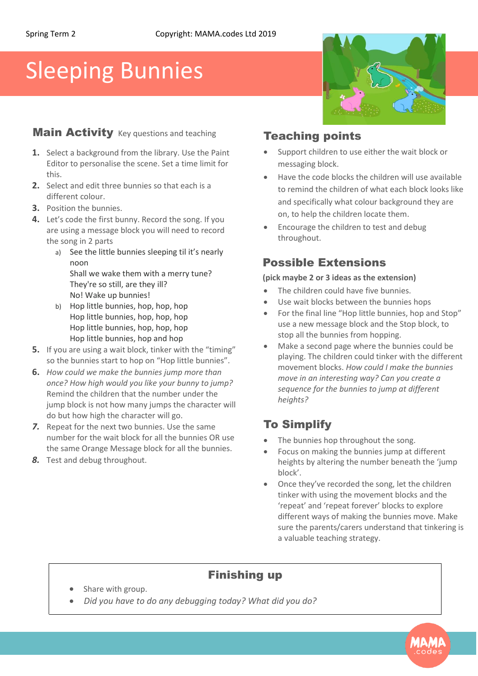# Sleeping Bunnies

# **Main Activity** Key questions and teaching **Teaching points**

- **1.** Select a background from the library. Use the Paint Editor to personalise the scene. Set a time limit for this.
- **2.** Select and edit three bunnies so that each is a different colour.
- **3.** Position the bunnies.
- **4.** Let's code the first bunny. Record the song. If you are using a message block you will need to record the song in 2 parts
	- a) See the little bunnies sleeping til it's nearly noon Shall we wake them with a merry tune? They're so still, are they ill?
	- No! Wake up bunnies! b) Hop little bunnies, hop, hop, hop Hop little bunnies, hop, hop, hop Hop little bunnies, hop, hop, hop Hop little bunnies, hop and hop
- **5.** If you are using a wait block, tinker with the "timing" so the bunnies start to hop on "Hop little bunnies".
- **6.** *How could we make the bunnies jump more than once? How high would you like your bunny to jump?* Remind the children that the number under the jump block is not how many jumps the character will do but how high the character will go.
- *7.* Repeat for the next two bunnies. Use the same number for the wait block for all the bunnies OR use the same Orange Message block for all the bunnies.
- *8.* Test and debug throughout.

- Support children to use either the wait block or messaging block.
- Have the code blocks the children will use available to remind the children of what each block looks like and specifically what colour background they are on, to help the children locate them.
- Encourage the children to test and debug throughout.

# Possible Extensions

### **(pick maybe 2 or 3 ideas as the extension)**

- The children could have five bunnies.
- Use wait blocks between the bunnies hops
- For the final line "Hop little bunnies, hop and Stop" use a new message block and the Stop block, to stop all the bunnies from hopping.
- Make a second page where the bunnies could be playing. The children could tinker with the different movement blocks. *How could I make the bunnies move in an interesting way? Can you create a sequence for the bunnies to jump at different heights?*

# To Simplify

- The bunnies hop throughout the song.
- Focus on making the bunnies jump at different heights by altering the number beneath the 'jump block'.
- Once they've recorded the song, let the children tinker with using the movement blocks and the 'repeat' and 'repeat forever' blocks to explore different ways of making the bunnies move. Make sure the parents/carers understand that tinkering is a valuable teaching strategy.

# Finishing up

- Share with group.
- *va Did you have to do any debugging today? What did you do?*